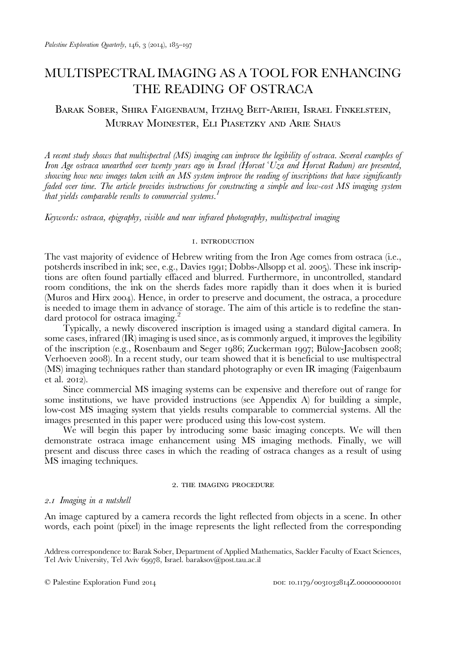# MULTISPECTRAL IMAGING AS A TOOL FOR ENHANCING THE READING OF OSTRACA

# BARAK SOBER, SHIRA FAIGENBAUM, ITZHAQ BEIT-ARIEH, ISRAEL FINKELSTEIN, MURRAY MOINESTER, ELI PIASETZKY AND ARIE SHAUS

A recent study shows that multispectral (MS) imaging can improve the legibility of ostraca. Several examples of Iron Age ostraca unearthed over twenty years ago in Israel (Horvat 'Uza and Horvat Radum) are presented, showing how new images taken with an MS system improve the reading of inscriptions that have significantly faded over time. The article provides instructions for constructing a simple and low-cost MS imaging system that yields comparable results to commercial systems.<sup>1</sup>

Keywords: ostraca, epigraphy, visible and near infrared photography, multispectral imaging

# **I. INTRODUCTION**

The vast majority of evidence of Hebrew writing from the Iron Age comes from ostraca (i.e., potsherds inscribed in ink; see, e.g., [Davies](#page-12-0) 1991; [Dobbs-Allsopp et al.](#page-12-0) 2005). These ink inscriptions are often found partially effaced and blurred. Furthermore, in uncontrolled, standard room conditions, the ink on the sherds fades more rapidly than it does when it is buried [\(Muros and Hirx](#page-12-0) 2004). Hence, in order to preserve and document, the ostraca, a procedure is needed to image them in advance of storage. The aim of this article is to redefine the standard protocol for ostraca imaging.<sup>2</sup>

Typically, a newly discovered inscription is imaged using a standard digital camera. In some cases, infrared (IR) imaging is used since, as is commonly argued, it improves the legibility of the inscription (e.g., [Rosenbaum and Seger](#page-12-0) 1986; [Zuckerman](#page-12-0) 1997; [Bülow-Jacobsen](#page-12-0) 2008; [Verhoeven](#page-12-0) 2008). In a recent study, our team showed that it is beneficial to use multispectral (MS) imaging techniques rather than standard photography or even IR imaging ([Faigenbaum](#page-12-0) [et al.](#page-12-0)  $2012$ ).

Since commercial MS imaging systems can be expensive and therefore out of range for some institutions, we have provided instructions (see Appendix A) for building a simple, low-cost MS imaging system that yields results comparable to commercial systems. All the images presented in this paper were produced using this low-cost system.

We will begin this paper by introducing some basic imaging concepts. We will then demonstrate ostraca image enhancement using MS imaging methods. Finally, we will present and discuss three cases in which the reading of ostraca changes as a result of using MS imaging techniques.

# 2. THE IMAGING PROCEDURE

# 2.1 Imaging in a nutshell

An image captured by a camera records the light reflected from objects in a scene. In other words, each point (pixel) in the image represents the light reflected from the corresponding

Address correspondence to: Barak Sober, Department of Applied Mathematics, Sackler Faculty of Exact Sciences, Tel Aviv University, Tel Aviv 69978, Israel. [baraksov@post.tau.ac.il](mailto:baraksov@post.tau.ac.il)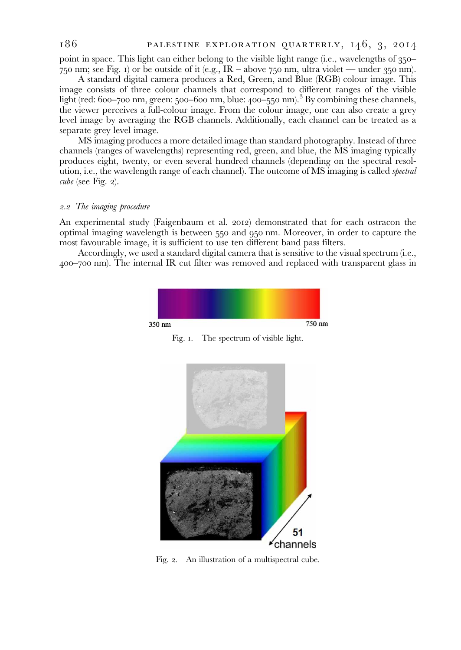point in space. This light can either belong to the visible light range (i.e., wavelengths of 350-750 nm; see Fig. 1) or be outside of it (e.g.,  $IR - above$  750 nm, ultra violet — under 350 nm).

A standard digital camera produces a Red, Green, and Blue (RGB) colour image. This image consists of three colour channels that correspond to different ranges of the visible light (red: 600–700 nm, green: 500–600 nm, blue:  $400-550$  nm).<sup>3</sup> By combining these channels, the viewer perceives a full-colour image. From the colour image, one can also create a grey level image by averaging the RGB channels. Additionally, each channel can be treated as a separate grey level image.

MS imaging produces a more detailed image than standard photography. Instead of three channels (ranges of wavelengths) representing red, green, and blue, the MS imaging typically produces eight, twenty, or even several hundred channels (depending on the spectral resolution, i.e., the wavelength range of each channel). The outcome of MS imaging is called spectral cube (see Fig.  $2$ ).

## 2.2 The imaging procedure

An experimental study ([Faigenbaum et al.](#page-12-0) 2012) demonstrated that for each ostracon the optimal imaging wavelength is between  $550$  and  $950$  nm. Moreover, in order to capture the most favourable image, it is sufficient to use ten different band pass filters.

Accordingly, we used a standard digital camera that is sensitive to the visual spectrum (i.e., – nm). The internal IR cut filter was removed and replaced with transparent glass in



Fig. 1. The spectrum of visible light.



Fig. 2. An illustration of a multispectral cube.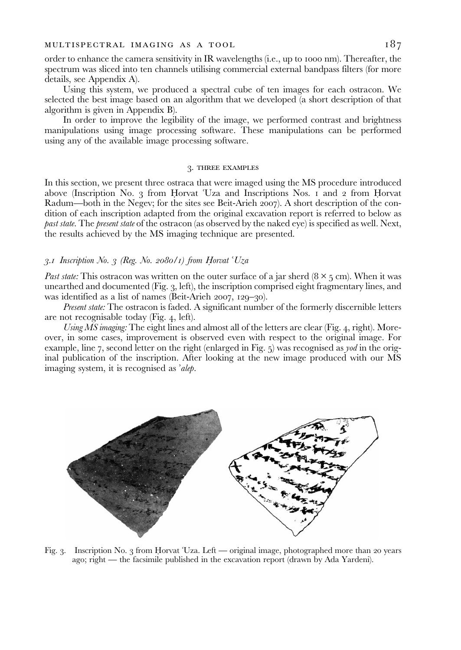order to enhance the camera sensitivity in IR wavelengths (i.e., up to 1000 nm). Thereafter, the spectrum was sliced into ten channels utilising commercial external bandpass filters (for more details, see Appendix A).

Using this system, we produced a spectral cube of ten images for each ostracon. We selected the best image based on an algorithm that we developed (a short description of that algorithm is given in Appendix B).

In order to improve the legibility of the image, we performed contrast and brightness manipulations using image processing software. These manipulations can be performed using any of the available image processing software.

#### 3. THREE EXAMPLES

In this section, we present three ostraca that were imaged using the MS procedure introduced above (Inscription No. 3 from Horvat  $Uz$ a and Inscriptions Nos.  $\iota$  and  $\iota$  from Horvat Radum—both in the Negev; for the sites see [Beit-Arieh](#page-12-0) 2007). A short description of the condition of each inscription adapted from the original excavation report is referred to below as past state. The present state of the ostracon (as observed by the naked eye) is specified as well. Next, the results achieved by the MS imaging technique are presented.

## 3.1 Inscription No. 3 (Reg. No. 2080/1) from Horvat  $Uza$

Past state: This ostracon was written on the outer surface of a jar sherd  $(8 \times 5 \text{ cm})$ . When it was unearthed and documented (Fig. 3, left), the inscription comprised eight fragmentary lines, and was identified as a list of names [\(Beit-Arieh](#page-12-0)  $2007$ ,  $129-30$ ).

Present state: The ostracon is faded. A significant number of the formerly discernible letters are not recognisable today (Fig. 4, left).

Using  $\overline{MS}$  imaging: The eight lines and almost all of the letters are clear (Fig. 4, right). Moreover, in some cases, improvement is observed even with respect to the original image. For example, line 7, second letter on the right (enlarged in Fig.  $5$ ) was recognised as *yod* in the original publication of the inscription. After looking at the new image produced with our MS imaging system, it is recognised as ʾalep.



Fig. 3. Inscription No. 3 from Horvat 'Uza. Left — original image, photographed more than 20 years ago; right — the facsimile published in the excavation report (drawn by Ada Yardeni).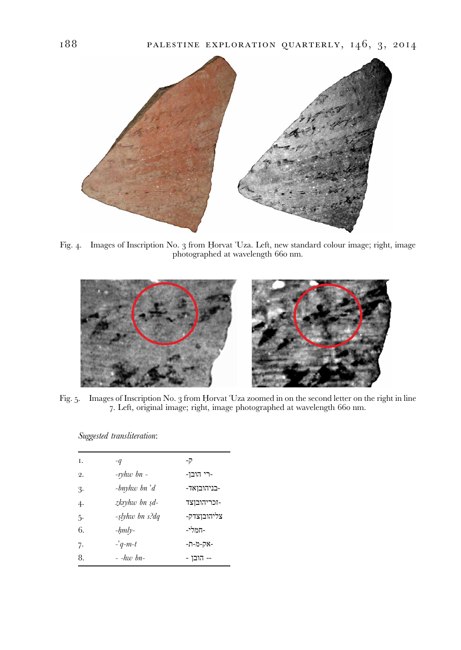<span id="page-3-0"></span>

Fig. 4. Images of Inscription No. 3 from Horvat 'Uza. Left, new standard colour image; right, image photographed at wavelength 660 nm.



Fig. 5. Images of Inscription No. 3 from Horvat 'Uza zoomed in on the second letter on the right in line 7. Left, original image; right, image photographed at wavelength 660 nm.

Suggested transliteration:

| Ι.            | $-q$                 | -7          |
|---------------|----------------------|-------------|
| 2.            | -rvhw bn -           | -רי הובן-   |
| $\mathcal{E}$ | -bnyhw bn $\partial$ | -בניהובואד- |
| 4.            | zkryhw bn sd-        | -זכריהובוצד |
| 5.            | -slyhw bn s?dq       | צליהובוצדק- |
| 6.            | $-hmly-$             | -המלי-      |
| 7.            | $-9$ -m-t            | -אק-מ-ת-    |
| 8.            | $-$ -huv bn-         | -- הובו -   |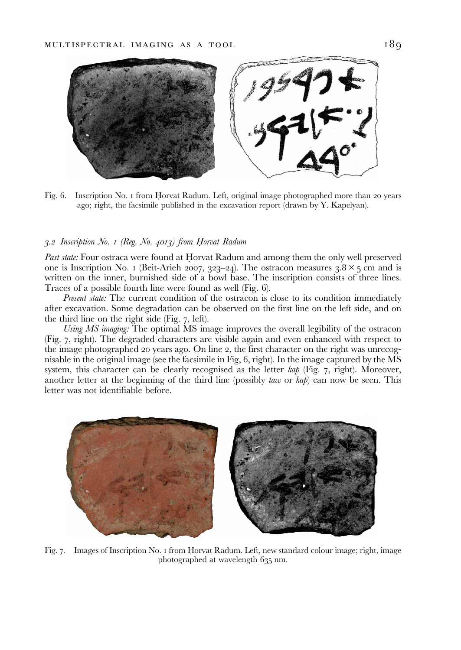

Fig. 6. Inscription No. I from Horvat Radum. Left, original image photographed more than 20 years ago; right, the facsimile published in the excavation report (drawn by Y. Kapelyan).

#### 3.2 Inscription No. 1 (Reg. No. 4013) from Horvat Radum

Past state: Four ostraca were found at Horvat Radum and among them the only well preserved one is Inscription No. I [\(Beit-Arieh](#page-12-0) 2007, 323–24). The ostracon measures  $3.8 \times 5$  cm and is written on the inner, burnished side of a bowl base. The inscription consists of three lines. Traces of a possible fourth line were found as well (Fig. 6).

Present state: The current condition of the ostracon is close to its condition immediately after excavation. Some degradation can be observed on the first line on the left side, and on the third line on the right side (Fig.  $7$ , left).

Using MS imaging: The optimal MS image improves the overall legibility of the ostracon (Fig. , right). The degraded characters are visible again and even enhanced with respect to the image photographed 20 years ago. On line 2, the first character on the right was unrecognisable in the original image (see the facsimile in Fig,  $6$ , right). In the image captured by the  $\overline{MS}$ system, this character can be clearly recognised as the letter  $kap$  (Fig. 7, right). Moreover, another letter at the beginning of the third line (possibly *taw* or *kap*) can now be seen. This letter was not identifiable before.



Fig. 7. Images of Inscription No. 1 from Horvat Radum. Left, new standard colour image; right, image photographed at wavelength 635 nm.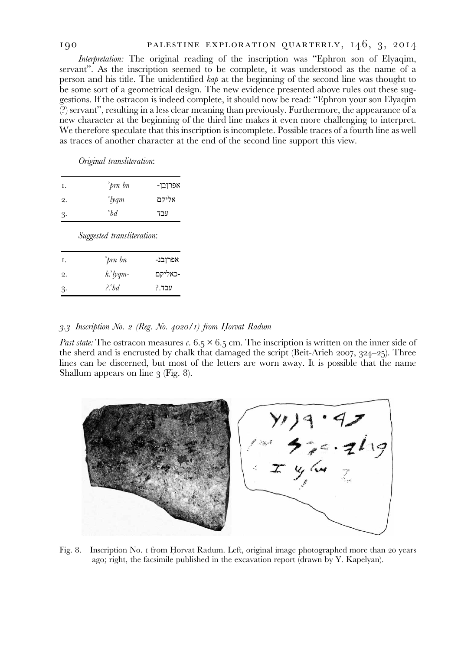# <span id="page-5-0"></span>190 PALESTINE EXPLORATION QUARTERLY, 146, 3, 2014

Interpretation: The original reading of the inscription was "Ephron son of Elyaqim, servant". As the inscription seemed to be complete, it was understood as the name of a person and his title. The unidentified kap at the beginning of the second line was thought to be some sort of a geometrical design. The new evidence presented above rules out these suggestions. If the ostracon is indeed complete, it should now be read: "Ephron your son Elyaqim (?) servant", resulting in a less clear meaning than previously. Furthermore, the appearance of a new character at the beginning of the third line makes it even more challenging to interpret. We therefore speculate that this inscription is incomplete. Possible traces of a fourth line as well as traces of another character at the end of the second line support this view.

Original transliteration:

| Ι.            | 'prn bn              | אפרובו- |
|---------------|----------------------|---------|
| 2.            | $\partial$           | אליקם   |
| $\mathcal{B}$ | $\partial^{\alpha}b$ | עבד     |

Suggested transliteration:

| Ι.            | 'prn bn       | אפרןבנ- |
|---------------|---------------|---------|
| 2.            | $k^2$ lyqm-   | -כאליקם |
| $\mathcal{B}$ | $2^{\circ}bd$ | עבד.?   |

# 3.3 Inscription No. 2 (Reg. No. 4020/1) from Horvat Radum

Past state: The ostracon measures c. 6.5  $\times$  6.5 cm. The inscription is written on the inner side of the sherd and is encrusted by chalk that damaged the script [\(Beit-Arieh](#page-12-0)  $2007, 324-25$ ). Three lines can be discerned, but most of the letters are worn away. It is possible that the name Shallum appears on line  $\beta$  (Fig. 8).



Fig. 8. Inscription No. I from Horvat Radum. Left, original image photographed more than 20 years ago; right, the facsimile published in the excavation report (drawn by Y. Kapelyan).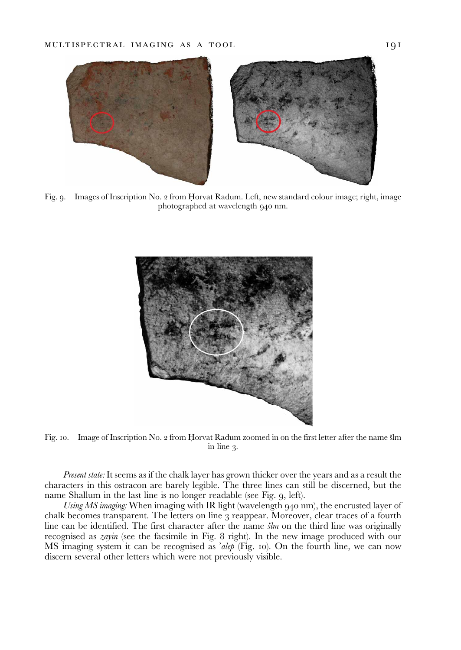

Fig. 9. Images of Inscription No. 2 from Horvat Radum. Left, new standard colour image; right, image photographed at wavelength 940 nm.



Fig. 10. Image of Inscription No. 2 from Horvat Radum zoomed in on the first letter after the name šlm in line  $\alpha$ .

Present state: It seems as if the chalk layer has grown thicker over the years and as a result the characters in this ostracon are barely legible. The three lines can still be discerned, but the name Shallum in the last line is no longer readable (see Fig. 9, left).

Using  $MS$  imaging: When imaging with IR light (wavelength  $940$  nm), the encrusted layer of chalk becomes transparent. The letters on line 3 reappear. Moreover, clear traces of a fourth line can be identified. The first character after the name  $\zeta/m$  on the third line was originally recognised as *zayin* (see the facsimile in Fig. 8 right). In the new image produced with our MS imaging system it can be recognised as 'alep (Fig. 10). On the fourth line, we can now discern several other letters which were not previously visible.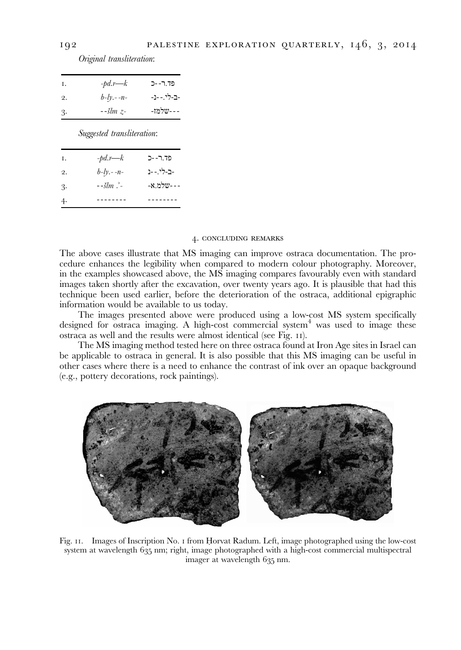Original transliteration:

| Ι. | $-pd.r—k$       | פד.ר--כ     |
|----|-----------------|-------------|
| 2. | $b - ly. - -n-$ | -ב-לי.- -נ- |
| 3. | $-5lm$ $z-$     | ---שלמז-    |

Suggested transliteration:

| Ι.            | $-pd.r—k$         | פד.ר--כ    |
|---------------|-------------------|------------|
| 2.            | $b - ly. - -n-$   | -ב-לי.- -נ |
| $\mathcal{E}$ | $-5$ lm $\cdot$ - | ---שלמ.א-  |
| 4.            |                   |            |

#### 4. CONCLUDING REMARKS

The above cases illustrate that MS imaging can improve ostraca documentation. The procedure enhances the legibility when compared to modern colour photography. Moreover, in the examples showcased above, the MS imaging compares favourably even with standard images taken shortly after the excavation, over twenty years ago. It is plausible that had this technique been used earlier, before the deterioration of the ostraca, additional epigraphic information would be available to us today.

The images presented above were produced using a low-cost MS system specifically designed for ostraca imaging. A high-cost commercial system $<sup>4</sup>$  was used to image these</sup> ostraca as well and the results were almost identical (see Fig. 11).

The MS imaging method tested here on three ostraca found at Iron Age sites in Israel can be applicable to ostraca in general. It is also possible that this MS imaging can be useful in other cases where there is a need to enhance the contrast of ink over an opaque background (e.g., pottery decorations, rock paintings).



Fig. 11. Images of Inscription No. 1 from Horvat Radum. Left, image photographed using the low-cost system at wavelength 635 nm; right, image photographed with a high-cost commercial multispectral imager at wavelength 635 nm.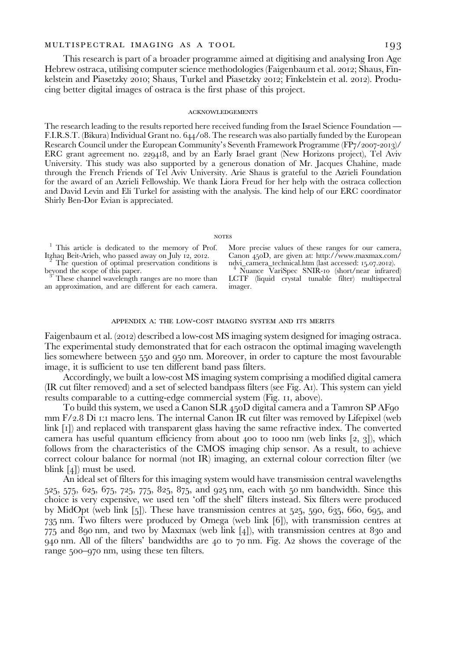#### MULTISPECTRAL IMAGING AS A TOOL [93]

This research is part of a broader programme aimed at digitising and analysing Iron Age Hebrew ostraca, utilising computer science methodologies [\(Faigenbaum et al.](#page-12-0) 2012; Shaus, Fin-kelstein and Piasetzky 2010; Shaus, Turkel and Piasetzky 2012; [Finkelstein et al.](#page-12-0) 2012). Producing better digital images of ostraca is the first phase of this project.

#### **ACKNOWLEDGEMENTS**

The research leading to the results reported here received funding from the Israel Science Foundation — F.I.R.S.T. (Bikura) Individual Grant no. 644/08. The research was also partially funded by the European Research Council under the European Community's Seventh Framework Programme  $(FP_7/2007-2013)/$ ERC grant agreement no. 229418, and by an Early Israel grant (New Horizons project), Tel Aviv University. This study was also supported by a generous donation of Mr. Jacques Chahine, made through the French Friends of Tel Aviv University. Arie Shaus is grateful to the Azrieli Foundation for the award of an Azrieli Fellowship. We thank Liora Freud for her help with the ostraca collection and David Levin and Eli Turkel for assisting with the analysis. The kind help of our ERC coordinator Shirly Ben-Dor Evian is appreciated.

#### **NOTES**

<sup>1</sup> This article is dedicated to the memory of Prof. Itzhaq Beit-Arieh, who passed away on July 12, 2012.

 $\frac{1}{2}$  The question of optimal preservation conditions is beyond the scope of this paper.

These channel wavelength ranges are no more than an approximation, and are different for each camera. More precise values of these ranges for our camera, Canon <sub>450</sub>D, are given at: [http://www.maxmax.com/](http://www.maxmax.com/ndvi_camera_technical.htm) [ndvi\\_camera\\_technical.htm](http://www.maxmax.com/ndvi_camera_technical.htm) (last accessed: 15.07.2012).<br><sup>4</sup> Nuance VariSpec SNIR-10 (short/near infrared) LCTF (liquid crystal tunable filter) multispectral imager.

#### APPENDIX A: THE LOW-COST IMAGING SYSTEM AND ITS MERITS

[Faigenbaum et al. \(](#page-12-0)2012) described a low-cost MS imaging system designed for imaging ostraca. The experimental study demonstrated that for each ostracon the optimal imaging wavelength lies somewhere between 550 and 950 nm. Moreover, in order to capture the most favourable image, it is sufficient to use ten different band pass filters.

Accordingly, we built a low-cost MS imaging system comprising a modified digital camera (IR cut filter removed) and a set of selected bandpass filters (see Fig. [A](#page-9-0)). This system can yield results comparable to a cutting-edge commercial system (Fig. 11, above).

To build this system, we used a Canon SLR 450D digital camera and a Tamron SP AF90  $\text{mm } F/2.8 \text{ Di }$  1:1 macro lens. The internal Canon IR cut filter was removed by Lifepixel (web link [1]) and replaced with transparent glass having the same refractive index. The converted camera has useful quantum efficiency from about 400 to 1000 nm (web links  $[2, 3]$ ), which follows from the characteristics of the CMOS imaging chip sensor. As a result, to achieve correct colour balance for normal (not IR) imaging, an external colour correction filter (we blink  $[4]$ ) must be used.

An ideal set of filters for this imaging system would have transmission central wavelengths 525, 575, 625, 675, 725, 775, 825, 875, and 925 nm, each with 50 nm bandwidth. Since this choice is very expensive, we used ten 'off the shelf' filters instead. Six filters were produced by MidOpt (web link  $[5]$ ). These have transmission centres at 525, 590, 635, 660, 695, and  $735$  nm. Two filters were produced by Omega (web link  $[6]$ ), with transmission centres at  $775$  and 890 nm, and two by Maxmax (web link [4]), with transmission centres at 830 and  $940$  nm. [A](#page-9-0)ll of the filters' bandwidths are  $40$  to  $70$  nm. Fig. A shows the coverage of the range 500-970 nm, using these ten filters.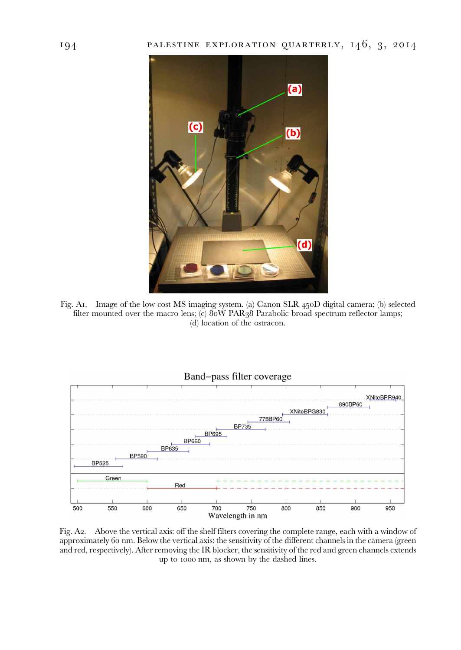<span id="page-9-0"></span>

Fig. A1. Image of the low cost MS imaging system. (a) Canon SLR  $450D$  digital camera; (b) selected filter mounted over the macro lens; (c)  $80W$  PAR $38$  Parabolic broad spectrum reflector lamps; (d) location of the ostracon.



Fig. A2. Above the vertical axis: off the shelf filters covering the complete range, each with a window of approximately 60 nm. Below the vertical axis: the sensitivity of the different channels in the camera (green and red, respectively). After removing the IR blocker, the sensitivity of the red and green channels extends up to 1000 nm, as shown by the dashed lines.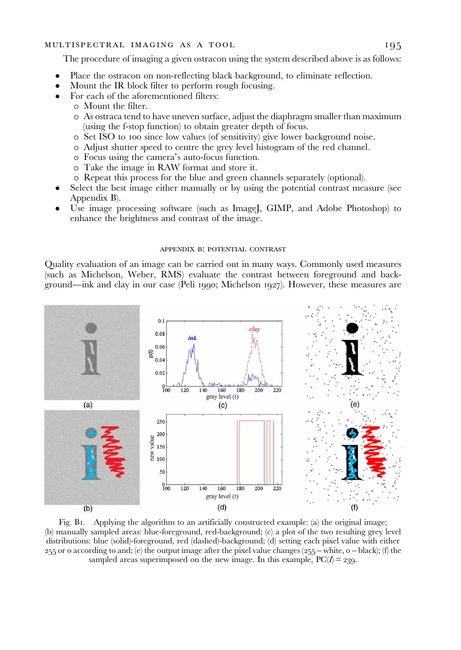#### <span id="page-10-0"></span>MULTISPECTRAL IMAGING AS A TOOL 195

The procedure of imaging a given ostracon using the system described above is as follows:

- Place the ostracon on non-reflecting black background, to eliminate reflection.
- Mount the IR block filter to perform rough focusing.
- For each of the aforementioned filters:
	- o Mount the filter.
	- o As ostraca tend to have uneven surface, adjust the diaphragm smaller than maximum (using the f-stop function) to obtain greater depth of focus.
	- o Set ISO to 100 since low values (of sensitivity) give lower background noise.
	- o Adjust shutter speed to centre the grey level histogram of the red channel.
	- o Focus using the camera's auto-focus function.
	- o Take the image in RAW format and store it.
	- o Repeat this process for the blue and green channels separately (optional).
- Select the best image either manually or by using the potential contrast measure (see Appendix B).
- Use image processing software (such as ImageJ, GIMP, and Adobe Photoshop) to enhance the brightness and contrast of the image.

#### APPENDIX B: POTENTIAL CONTRAST

Quality evaluation of an image can be carried out in many ways. Commonly used measures (such as Michelson, Weber, RMS) evaluate the contrast between foreground and background—ink and clay in our case (Peli 1990; Michelson 1927). However, these measures are



Fig. B. Applying the algorithm to an artificially constructed example: (a) the original image; (b) manually sampled areas: blue-foreground, red-background; (c) a plot of the two resulting grey level distributions: blue (solid)-foreground, red (dashed)-background; (d) setting each pixel value with either 255 or 0 according to and; (e) the output image after the pixel value changes (255 – white,  $o$  – black); (f) the sampled areas superimposed on the new image. In this example,  $PC(I) = 239$ .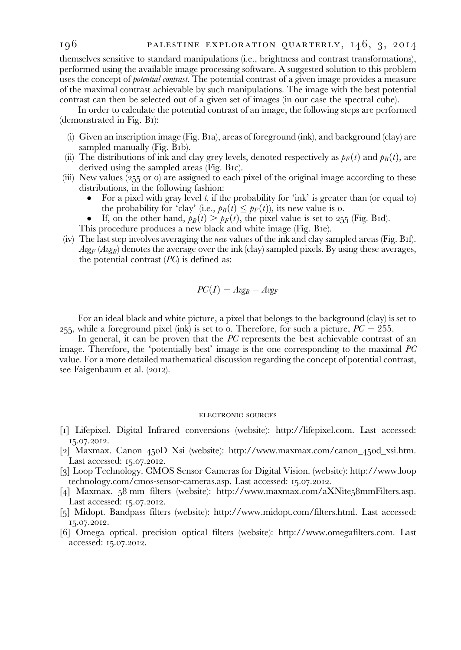themselves sensitive to standard manipulations (i.e., brightness and contrast transformations), performed using the available image processing software. A suggested solution to this problem uses the concept of *potential contrast*. The potential contrast of a given image provides a measure of the maximal contrast achievable by such manipulations. The image with the best potential contrast can then be selected out of a given set of images (in our case the spectral cube).

In order to calculate the potential contrast of an image, the following steps are performed (demonstrated in Fig. [B](#page-10-0)):

- (i) Given an inscription image (Fig. [B](#page-10-0)a), areas of foreground (ink), and background (clay) are sampled manually  $(Fig. Bib)$  $(Fig. Bib)$  $(Fig. Bib)$ .
- (ii) The distributions of ink and clay grey levels, denoted respectively as  $p_F(t)$  and  $p_B(t)$ , are derived using the sampled areas (Fig. [B](#page-10-0)IC).
- (iii) New values  $(255 \text{ or } 0)$  are assigned to each pixel of the original image according to these distributions, in the following fashion:
	- For a pixel with gray level  $t$ , if the probability for 'ink' is greater than (or equal to) the probability for 'clay' (i.e.,  $p_B(t) \leq p_F(t)$ ), its new value is o.
	- If, on the other hand,  $p_B(t) > p_F(t)$ , the pixel value is set to 255 (Fig. [B](#page-9-0)id).
	- This procedure produces a new black and white image (Fig. [B](#page-10-0)ie).
- (iv) The last step involves averaging the new values of the ink and clay sampled areas (Fig. [B](#page-10-0)f).  $Avg_F$  ( $Avg_B$ ) denotes the average over the ink (clay) sampled pixels. By using these averages, the potential contrast  $(PC)$  is defined as:

$$
PC(I) = Avg_B - Avg_F
$$

For an ideal black and white picture, a pixel that belongs to the background (clay) is set to 255, while a foreground pixel (ink) is set to o. Therefore, for such a picture,  $PC = 255$ .

In general, it can be proven that the PC represents the best achievable contrast of an image. Therefore, the 'potentially best' image is the one corresponding to the maximal PC value. For a more detailed mathematical discussion regarding the concept of potential contrast, see Faigenbaum et al. (2012).

#### ELECTRONIC SOURCES

- [] Lifepixel. Digital Infrared conversions (website): [http://lifepixel.com.](http://lifepixel.com) Last accessed: 15.07.2012.
- [2] Maxmax. Canon 450D Xsi (website): [http://www.maxmax.com/canon\\_](http://www.maxmax.com/canon_450d_xsi.htm)450d\_xsi.htm. Last accessed:  $15.07.2012$ .
- [3] Loop Technology. CMOS Sensor Cameras for Digital Vision. (website): [http://www.loop](http://www.looptechnology.com/cmos-sensor-cameras.asp) [technology.com/cmos-sensor-cameras.asp.](http://www.looptechnology.com/cmos-sensor-cameras.asp) Last accessed: 15.07.2012.
- [4] Maxmax.  $58 \text{ mm filters}$  (website): [http://www.maxmax.com/aXNite](http://www.maxmax.com/aXNite58mmFilters.asp) $58 \text{ mm Filters}$ .asp. Last accessed: 15.07.2012.
- [5] Midopt. Bandpass filters (website):<http://www.midopt.com/filters.html>. Last accessed: 15.07.2012.
- [] Omega optical. precision optical filters (website): [http://www.omegafilters.com.](http://www.omegafilters.com) Last accessed: 15.07.2012.